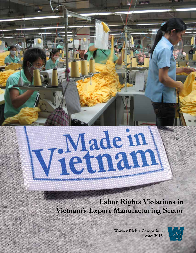**Labor Rights Violations in Vietnam's Export Manufacturing Sector**

Vietnam

**Worker Rights Consortium May 2013**

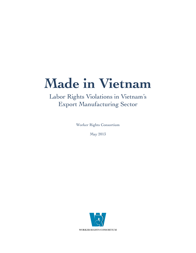# **Made in Vietnam**

### Labor Rights Violations in Vietnam's Export Manufacturing Sector

Worker Rights Consortium

May 2013

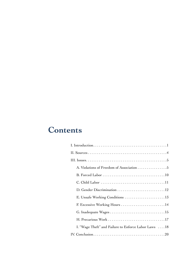# **Contents**

| A. Violations of Freedom of Association 5             |
|-------------------------------------------------------|
|                                                       |
|                                                       |
| D. Gender Discrimination 12                           |
| E. Unsafe Working Conditions 13                       |
| F. Excessive Working Hours  14                        |
| G. Inadequate Wages15                                 |
|                                                       |
| I. "Wage Theft" and Failure to Enforce Labor Laws  18 |
|                                                       |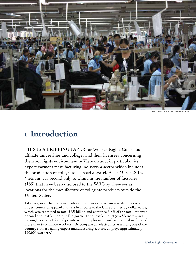

creative commons: nternational Labour Organizaton

# **I. Introduction**

THIS IS A BRIEFING PAPER for Worker Rights Consortium affiliate universities and colleges and their licensees concerning the labor rights environment in Vietnam and, in particular, its export garment manufacturing industry, a sector which includes the production of collegiate licensed apparel. As of March 2013, Vietnam was second only to China in the number of factories (185) that have been disclosed to the WRC by licensees as locations for the manufacture of collegiate products outside the United States.1

Likewise, over the previous twelve-month period Vietnam was also the second largest source of apparel and textile imports to the United States by dollar value, which was estimated to total \$7.9 billion and comprise 7.8% of the total imported apparel and textile market.<sup>2</sup> The garment and textile industry is Vietnam's largest single source of formal private sector employment with a direct labor force of more than two million workers.<sup>3</sup> By comparison, electronics assembly, one of the country's other leading export manufacturing sectors, employs approximately 120,000 workers.4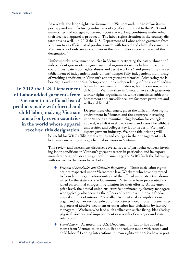As a result, the labor rights environment in Vietnam and, in particular, its export apparel manufacturing industry is of significant interest to the WRC and universities and colleges concerned about the working conditions under which their licensed apparel is produced. The labor rights situation in the country dictates this as well—in 2012 the U.S. Department of Labor added garments from Vietnam to its official list of products made with forced and child labor, making Vietnam one of only seven countries in the world whose apparel received this designation.<sup>5</sup>

Unfortunately, government policies in Vietnam restricting the establishment of independent grassroots nongovernmental organizations, including those that could investigate labor rights abuses and assist workers, $^6$  and preventing the establishment of independent trade unions<sup>7</sup> hamper fully independent monitoring of working conditions in Vietnam's export garment factories. Advocating for labor rights and monitoring factory conditions independently of the apparel indus-

**In 2012 the U.S. Department of Labor added garments from Vietnam to its official list of products made with forced and child labor, making Vietnam one of only seven countries in the world whose apparel received this designation.** try and government authorities is, for this reason, more difficult in Vietnam than in China, where such grassroots worker rights organizations, while sometimes subject to harassment and surveillance, are far more prevalent and well-established.8

Despite these challenges, given the difficult labor rights environment in Vietnam and the country's increasing importance as a manufacturing location for collegiate apparel, we felt it useful to review and assess for affiliate universities and colleges key labor issues in Vietnam's export garment industry. We hope this briefing will

be useful for WRC affiliate universities and colleges in their engagement with licensees concerning supply chain labor issues in Vietnam.

This review and assessment discusses several issues of particular concern involving labor conditions in Vietnam's garment sector, in particular, and its export manufacturing industries, in general. In summary, the WRC finds the following with respect to the issues listed below:

- ✦ *Freedom of Association and Collective Bargaining—*These basic labor rights are not respected under Vietnamese law. Workers who have attempted to form labor organizations outside of the official union structure dominated by the state and the Communist Party have been prosecuted and jailed on criminal charges in retaliation for their efforts.<sup>9</sup> At the enterprise level, the official union structure is dominated by factory managers who typically also serve as the officers of plant-level unions, a fundamental conflict of interest.10 So-called "wildcat strikes"—job actions organized by workers outside union structures—occur often, many times in protest of abusive treatment or other labor law violations by factory managers.<sup>11</sup> Workers who lead such strikes can suffer firing, blacklisting, physical violence and imprisonment as a result of employer and state retaliation.<sup>12</sup>
- ✦ *Forced Labor*—As noted, the U.S. Department of Labor has added garments from Vietnam to its annual list of products made with forced and child labor.13 Leading international human rights authorities have report-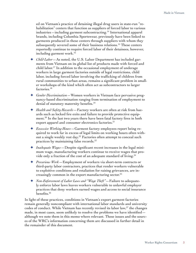ed on Vietnam's practice of detaining illegal drug users in state-run "rehabilitation" centers that function as suppliers of forced labor to various industries—including garment subcontracting.14 International apparel brands, including Columbia Sportswear, previously have been linked to garments produced in these centers through suppliers with whom they subsequently severed some of their business relations.<sup>15</sup> These centers reportedly continue to require forced labor of their detainees, however, including garment work.<sup>16</sup>

- ✦ *Child Labor*—As noted, the U.S. Labor Department has included garments from Vietnam on its global list of products made with forced and child labor.17 In addition to the occasional employment of underage workers in large garment factories outside of legal restrictions, child labor, including forced labor involving the trafficking of children from rural communities to urban areas, remains a significant problem in smaller workshops of the kind which often act as subcontractors to larger factories.<sup>18</sup>
- ✦ *Gender Discrimination*—Women workers in Vietnam face pervasive pregnancy-based discrimination ranging from termination of employment to denial of statutory maternity benefits.<sup>19</sup>
- ✦ *Health and Safety Hazards*—Factory workers are often at risk from hazards such as locked fire exits and failure to provide protective equipment.20 In the last two years there have been fatal factory fires in both export apparel and consumer electronics factories.<sup>21</sup>
- ✦ *Excessive Working Hours*—Garment factory employees report being required to work far in excess of legal limits on working hours often without a single weekly rest day.<sup>22</sup> Factories often attempt to conceal such practices by maintaining false records.23
- ✦ *Inadequate Wages*—Despite significant recent increases in the legal minimum wage, manufacturing workers continue to receive wages that provide only a fraction of the cost of an adequate standard of living.<sup>24</sup>
- ✦ *Precarious Work—*Employment of workers via short-term contracts or third-party labor contractors, practices that render workers vulnerable to exploitive conditions and retaliation for raising grievances, are increasingly common in the export manufacturing sector.<sup>25</sup>
- ✦ *Non-Enforcement of Labor Laws and "Wage Theft"*—Failure to adequately enforce labor laws leaves workers vulnerable to unlawful employer practices that deny workers earned wages and access to social insurance benefits.<sup>26</sup>

In light of these practices, conditions in Vietnam's export garment factories remain generally noncompliant with international labor standards and university codes of conduct. While Vietnam has recently revised its labor law,<sup>27</sup> the changes made, in most cases, seem unlikely to resolve the problems we have identified  $$ although we note them in this memo where relevant. These issues and the sources of the WRC's information concerning them are discussed in further detail in the remainder of this document.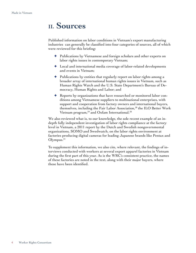### **II. Sources**

Published information on labor conditions in Vietnam's export manufacturing industries can generally be classified into four categories of sources, all of which were reviewed for this briefing:

- ✦ Publications by Vietnamese and foreign scholars and other experts on labor rights issues in contemporary Vietnam;
- ✦ Local and international media coverage of labor-related developments and events in Vietnam;
- ✦ Publications by entities that regularly report on labor rights among a broader array of international human rights issues in Vietnam, such as Human Rights Watch and the U.S. State Department's Bureau of Democracy, Human Rights and Labor; and
- ✦ Reports by organizations that have researched or monitored labor conditions among Vietnamese suppliers to multinational enterprises, with support and cooperation from factory owners and international buyers, themselves, including the Fair Labor Association,<sup>28</sup> the ILO Better Work Vietnam program, $^{29}$  and Oxfam International.<sup>30</sup>

We also reviewed what is, to our knowledge, the sole recent example of an indepth fully independent investigation of labor rights compliance at the factory level in Vietnam, a 2011 report by the Dutch and Swedish nongovernmental organizations, SOMO and Swedwatch, on the labor rights environment at factories producing digital cameras for leading Japanese brands like Pentax and Olympus. $31$ 

To supplement this information, we also cite, where relevant, the findings of interviews conducted with workers at several export apparel factories in Vietnam during the first part of this year. As is the WRC's consistent practice, the names of these factories are noted in the text, along with their major buyers, where these have been identified.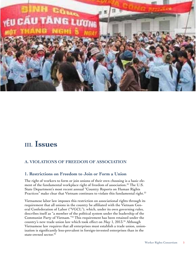

### **III. Issues**

#### **A. Violations of Freedom of Association**

#### **1. Restrictions on Freedom to Join or Form a Union**

The right of workers to form or join unions of their own choosing is a basic element of the fundamental workplace right of freedom of association.<sup>32</sup> The U.S. State Department's most recent annual "Country Reports on Human Rights Practices" make clear that Vietnam continues to violate this fundamental right.<sup>33</sup>

Vietnamese labor law imposes this restriction on associational rights through its requirement that all unions in the country be affiliated with the Vietnam General Confederation of Labor ("VGCL"), which, under its own governing rules, describes itself as "a member of the political system under the leadership of the Communist Party of Vietnam."34 This requirement has been retained under the country's new trade union law which took effect on May 1, 2013.35 Although Vietnamese law requires that all enterprises must establish a trade union, unionization is significantly less-prevalent in foreign-invested enterprises than in the state-owned sector.<sup>36</sup>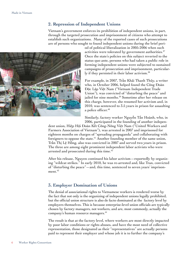#### **2. Repression of Independent Unions**

Vietnam's government enforces its prohibition of independent unions, in part, through the targeted prosecution and imprisonment of citizens who attempt to establish such organizations. Many of the reported cases of such prosecutions are of persons who sought to found independent unions during the brief peri-



od of political liberalization in 2005-2006 when such activities were tolerated by government authorities.<sup>37</sup> Once the state's policies on this subject reverted to the status quo ante, persons who had taken a public role in forming independent unions were subjected to sustained campaigns of prosecution and imprisonment, particularly if they persisted in their labor activism.<sup>38</sup>

For example, in 2007, Trần Khải Thanh Thủy, a writer who, in October 2006, helped found the Công Đoàn Độc Lập Việt Nam ("Vietnam Independent Trade Union"), was convicted of "disturbing the peace" and jailed for nine months.<sup>39</sup> Sometime after her release on this charge, however, she resumed her activism and, in 2010, was sentenced to 3.5 years in prison for assaulting a police officer.<sup>40</sup>

Similarly, factory worker Nguyễn Tấn Hoành, who, in 2006, participated in the founding of another indepen-

dent union, Hiệp Hội Đoàn Kết Công-Nông Việt Nam ("United Workers and Farmers Association of Vietnam"), was arrested in 2007 and imprisoned for eighteen months on charges of "spreading propaganda" and collaborating with foreigners to oppose the state.<sup>41</sup> Another founding member of the same union, Trần Thị Lệ Hồng, also was convicted in 2007 and served two years in prison. The three are among eight prominent independent labor activists who were arrested and prosecuted during this time.<sup>42</sup>

After his release, Nguyen continued his labor activism—reportedly by organizing "wildcat strikes." In early 2010, he was re-arrested and, like Tran, convicted of "disturbing the peace"—and, this time, sentenced to seven years' imprisonment.<sup>43</sup>

#### **3. Employer Domination of Unions**

The denial of associational rights to Vietnamese workers is rendered worse by the fact that not only is the organizing of independent unions legally prohibited, but the official union structure is also de facto dominated at the factory level by employers themselves. This is because enterprise-level union officials are typically chosen by factory managers, not workers, and are, most commonly, actually the company's human resource managers.44

The result is that at the factory level, where workers are most directly impacted by poor labor conditions or rights abuses, and have the most need of collective representation, those designated as their "representatives" are actually persons paid to represent their employer and whose job it is to further the company's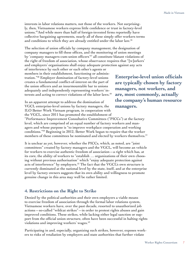interests in labor relations matters, not those of the workers. Not surprisingly, then, Vietnamese workers express little confidence or trust in factory-level unions.45And while more than half of foreign-invested firms reportedly have collective bargaining agreements, nearly all of these simply offer workers terms and conditions to which they are already entitled under the labor law.<sup>46</sup>

The selection of union officials by company management, the designation of company managers to fill these offices, and the monitoring of union meetings by 'company managers-cum-union officers'47 all constitute blatant violations of the right of freedom of association, whose observance requires that "[w]orkers' and employers' organisations shall enjoy adequate protection against any acts

of interference by each other or each other's agents or members in their establishment, functioning or administration."48 Employer domination of factory-level unions creates a fundamental conflict-of-interest on the part of the union officers and an insurmountable bar to unions adequately and independently representing workers' interests and acting to correct violations of the labor laws.<sup>49</sup>

In an apparent attempt to address the domination of VGCL enterprise-level unions by factory managers, the ILO Better Work Vietnam program, in cooperation with the VGCL, since 2011 has promoted the establishment of **Enterprise-level union officials are typically chosen by factory managers, not workers, and are, most commonly, actually the company's human resource managers.**

"Performance Improvement Consultative Committees ("PICCs") at the factory level, which are comprised of an equal number of factory workers and managers and whose purpose is "to improve workplace cooperation and working conditions."50 Beginning in 2012, Better Work began to require that the worker members of these committees be nominated and elected by workers themselves.<sup>51</sup>

It is unclear as yet, however, whether the PICCs, which, as noted, are "joint committees" created by factory managers and the VGCL, will become an vehicle for workers to exercise authentic freedom of association—a right which has, at its core, the ability of workers to "establish … organizations of their own choosing without previous authorisation" which "enjoy adequate protection against acts of interference" by employers.<sup>52</sup> The fact that the VGCL's own structure is currently dominated at the national level by the state, itself, and at the enterprise level by factory owners suggests that its own ability and willingness to promote genuine change in this area may well be rather limited.

#### **4. Restrictions on the Right to Strike**

Denied by the political authorities and their own employers a viable means to exercise freedom of association through the formal labor relations system, Vietnamese workers have, over the past decade, resorted to unauthorized job actions—so-called "wildcat strikes"—in order to protest rights abuses and gain improved conditions. These strikes, while lacking either legal sanction or support from the official union structure, often have been successful in halting rights violations and improving workers' wages.<sup>53</sup>

Participating in and, especially, organizing such strikes, however, exposes workers to risks of retaliation by employers and state authorities that further violate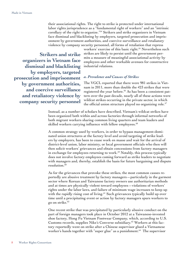their associational rights. The right to strike is protected under international labor rights jurisprudence as a "fundamental right of workers" and an "intrinsic corollary of the right to organize."54 Strikers and strike organizers in Vietnam face dismissal and blacklisting by employers, targeted prosecution and imprisonment by government authorities, and coercive surveillance and retaliatory violence by company security personnel, all forms of retaliation that repress

**Strikers and strike organizers in Vietnam face dismissal and blacklisting by employers, targeted prosecution and imprisonment by government authorities, and coercive surveillance and retaliatory violence by company security personnel** 

workers' exercise of this basic right.<sup>55</sup> Nevertheless such strikes are likely to persist until the government permits a measure of meaningful associational activity by employees and other workable avenues for constructive industrial relations.

#### *a. Prevalence and Causes of Strikes*

The VGCL reported that there were 981 strikes in Vietnam in 2011, more than double the 423 strikes that were registered the year before.<sup>56</sup> As has been a consistent pattern over the past decade, nearly all of these actions were wildcat strikes occurring in the private sector, in which the official union structure played no organizing role. $57$ 

Instead, as a number of scholars have described, Vietnam's wildcat strikes have been organized both within and across factories through informal networks of both migrant workers sharing common living quarters and team leaders and skilled workers carrying influence with fellow employees.<sup>58</sup>

A common strategy used by workers, in order to bypass management-dominated union structures at the factory level and avoid targeting of strike leaders by employers, has been to cease work en masse and wait for the arrival of district-level union, labor ministry, or local government officials who then will then solicit workers' grievances and obtain concessions from factory managers in exchange for employees returning to work.<sup>59</sup> Notably, this process typically does not involve factory employees coming forward as strike leaders to negotiate with managers and, thereby, establish the basis for future bargaining and dispute resolution.<sup>60</sup>

As for the grievances that provoke these strikes, the most common causes reportedly are abusive treatment by factory managers—particularly in the garment sector where Korean and Taiwanese factory owners use authoritarian methods and at times are physically violent toward employees—violations of workers' rights under the labor laws, and failure of minimum wage increases to keep up with the rapidly rising cost of living.<sup>61</sup> Such grievances typically build up over time until a precipitating event or action by factory managers spurs workers to go on strike.62

One recent strike that was precipitated by particularly abusive conduct on the part of foreign managers took place in October 2012 at a Taiwanese-invested shoe factory, Hong Fu Vietnam Footwear Company, which, according to U.S. Customs records, supplies Nike's Converse subsidiary.<sup>63</sup> Workers at this factory reportedly went on strike after a Chinese supervisor glued a Vietnamese worker's hands together with "super glue" as a punishment.<sup>64</sup> The supervisor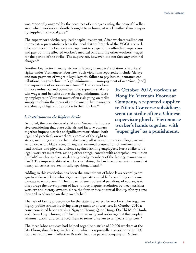was reportedly angered by the practices of employees using the powerful adhesive, which workers evidently brought from home, at work, rather than company-supplied industrial glue.<sup>65</sup>

The supervisor's victim required hospital treatment. After workers walked out in protest, representatives from the local district branch of the VGCL arrived, who convinced the factory's management to suspend the offending supervisor and pay both the affected worker's medical bills and the other workers' wages for the period of the strike. The supervisor, however, did not face any criminal charges.<sup>66</sup>

Another key factor in many strikes is factory managers' violation of workers' rights under Vietnamese labor law. Such violations reportedly include "delays and non-payment of wages, illegal layoffs, failure to pay health insurance contributions, wages below the legal minimum, . . . non-payment of overtime, [and]

the imposition of excessive overtime."67 Unlike workers in more industrialized countries, who typically strike to win wages and benefits above the legal minimum, factory employees in Vietnam must often risk going on strike simply to obtain the terms of employment that managers are already obligated to provide to them by law.<sup>68</sup>

#### *b. Restrictions on the Right to Strike*

As noted, the prevalence of strikes in Vietnam is impressive considering that state officials and factory owners together impose a series of significant restrictions, both legal and practical, on workers' exercise of the right to

strike, including statutes that make nearly all strikes, in practice, illegal, as well as, on occasion, blacklisting, firing and criminal prosecution of workers who lead strikes, and physical violence against striking employees. For a strike to be legal, workers must first, among other things, consult with enterprise-level union officials $^{69}$  —who, as discussed, are typically members of the factory management itself! The impracticality of workers satisfying the law's requirements means that nearly all strikes are, technically speaking, illegal.<sup>70</sup>

Adding to this restriction has been the amendment of labor laws several years ago to make workers who organize illegal strikes liable for resulting economic damage to employers.<sup>71</sup> The impact of such potential penalties, of course, is to discourage the development of face-to-face dispute resolution between striking workers and factory owners, since the former face potential liability if they come forward to advocate on their own behalf.

The risk of facing prosecution by the state is greatest for workers who organize highly-public strikes involving a large number of workers. In October 2010 a court convicted labor activists Nguyen Hoang Quoc Hung, Do Thi Minh Hanh, and Doan Huy Chuong, of "disrupting security and order against the people's administration" and sentenced them to terms of seven to ten years in prison.<sup>72</sup>

The three labor activists had helped organize a strike of 10,000 workers at the My Phong shoe factory in Tra Vinh, which is reportedly a supplier to the U.S. footwear company, Collective Brands, Inc., the parent company of Payless,

**In October 2012, workers at Hong Fu Vietnam Footwear Company, a reported supplier to Nike's Converse subsidiary, went on strike after a Chinese supervisor glued a Vietnamese worker's hands together with "super glue" as a punishment.**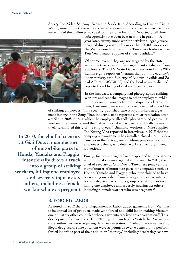Sperry Top-Sider, Saucony, Keds, and Stride Rite. According to Human Rights Watch, none of the three workers were represented by counsel at their trial, nor were any of them allowed to speak on their own behalf.<sup>73</sup> Reportedly, all three



subsequently have been beaten while in prison.<sup>74</sup> A year later, twenty more worker activists allegedly were arrested during a strike by more than 90,000 workers at the Vietnamese factories of the Taiwanese footwear firm, Pou Yen, a major supplier of shoes to adidas.<sup>75</sup>

Of course, even if they are not targeted by the state, worker activists can still face significant retaliation from employers. The U.S. State Department noted in its 2012 human rights report on Vietnam that both the country's labor ministry (the Ministry of Labour, Invalids and Social Affairs, "MOLISA") and the local news media had reported blacklisting of strikers by employers.

In the first case, a company had photographed striking workers and sent the images to other employers, while in the second, managers from the Japanese electronics firm, Panasonic, were said to have developed a blacklist

of striking employees.76 In a recently-published case study, workers at a garment factory in the Song Than industrial zone reported similar retaliation after a strike in 2008, during which the employer allegedly photographed protesting workers, then interrogated them after the strike was over, and, finally, selectively terminated thirty of the employees.77 Similarly, workers at Nike supplier

**In 2010, the chief of security at Giai Duc, a manufacturer of motorbike parts for Honda, Yamaha and Piaggio, intentionally drove a truck into a group of striking workers, killing one employee and severely injuring six others, including a female worker who was pregnant**

Tae Kwang Vina reported in interviews in 2013 that the company's management has installed closed circuit video cameras in the factory, one of whose purposes, some employees believe, is to deter workers from organizing job actions.

Finally, factory managers have responded to some strikes with physical violence against employees. In 2010, the chief of security at Giai Duc, a Taiwanese joint venture manufacturer of motorbike parts for companies such as Honda, Yamaha and Piaggio, who later claimed to have been acting on orders from factory-higher-ups, intentionally drove a truck into a group of striking workers, killing one employee and severely injuring six others, including a female worker who was pregnant.<sup>78</sup>

#### **B. Forced Labor**

As noted, in 2012 the U.S. Department of Labor added garments from Vietnam to its annual list of products made with forced and child labor, making Vietnam one of just six other countries whose garments received this designation.<sup>79</sup> This development followed reports in 2011 by Human Rights Watch that Vietnamese state authorities were requiring detainees in state-run "rehabilitation centers" for illegal drug users, some of whom were as young as twelve years old, to perform forced labor<sup>80</sup> as part of their addiction "therapy," including processing cashew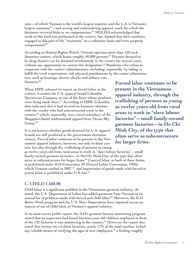nuts—of which Vietnam is the world's largest exporter and the U.S. is Vietnam's largest customer $81$  —and sewing and embroidering apparel, work for which the detainees received little or no compensation.<sup>82</sup> MOLISA acknowledged that work of this kind was performed at the centers, but claimed that their residents engaged in this part of the "treatment" on a voluntary basis and were properly compensated.83

According to Human Rights Watch, Vietnam operates more than 120 such detention centers, which house roughly 40,000 persons.<sup>84</sup> Persons deemed to be drug abusers can be detained involuntarily in the centers for several years, without any opportunity to contest this designation.<sup>85</sup> Residents who refuse to cooperate with the centers' administrators, including, reportedly, by failing to fulfill the work requirement, risk physical punishments by the center administrators, such as beatings, electric shocks and solitary confinement.<sup>86</sup>

When HRW released its report on forced labor at the centers, it named the U.S. apparel brand Columbia Sportswear Company as one of the firms whose products were being made there.<sup>87</sup> According to HRW, Columbia then indicated that it had severed its business relations with the vendor who had subcontracted work to the centers,<sup>88</sup> which, reportedly, was a local subsidiary of the Singapore-based multinational apparel firm, Ocean Sky Group.89

It is not known whether goods destined for U.S. apparel brands are still produced at the government detention centers. Forced labor continues to be present in the Vietnamese apparel industry, however, not only in these centers, but also through the trafficking of persons as young

as twelve years old from rural areas to work in "slave labour factories"—small family-owned garment factories—in Ho Chi Minh City, of the type that often serve as subcontractors for larger firms.<sup>90</sup> Coerced labor, in both of these forms, is prohibited under ILO Convention 29 (Forced Labor Convention, 1930), which Vietnam ratified in 2007,<sup>91</sup> and importation of goods made with forced or prison labor is prohibited under U.S. law.<sup>92</sup>

#### **C. Child Labor**

Child labor is a significant problem in the Vietnamese garment industry. As noted, the U.S. Department of Labor has added garments from Vietnam to its annual list of products made with forced and child labor.<sup>93</sup> Moreover, the ILO Better Work program and the U.S. State Department have reported recent instances of use of child labor in Vietnam's apparel industry.

In its most recent public report, the ILO's garment factory monitoring program stated that its inspectors had found fourteen-year-old children employed at three of the  $132$  factories it was monitoring in the country.<sup>94</sup> However, the report also noted that twenty-two of these factories, nearly 17% of the total number, lacked any reliable means of verifying the ages of new employees,  $95$  a finding roughly

**Forced labor continues to be present in the Vietnamese apparel industry, through the trafficking of persons as young as twelve years old from rural areas to work in "slave labour factories"—small family-owned garment factories—in Ho Chi Minh City, of the type that often serve as subcontractors for larger firms.**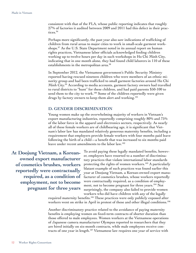consistent with that of the FLA, whose public reporting indicates that roughly 27% of factories it audited between 2009 and 2011 had this defect in their practices.<sup>96</sup>

Perhaps more significantly, the past year also saw indications of trafficking of children from rural areas to major cities to work in small-scale garment workshops.<sup>97</sup> As the U.S. State Department noted in its annual report on human rights practices, Vietnamese labor officials acknowledged finding children working up to twelve hours per day in such workshops in Ho Chi Minh City, indicating that in one month alone, they had found child laborers in 110 of these establishments in the metropolitan area.<sup>98</sup>

In September 2012, the Vietnamese government's Public Security Ministry reported having rescued nineteen children who were members of an ethnic minority group and had been trafficked to small garment factories around Ho Chi Minh City.99 According to media accounts, garment factory owners had travelled to rural districts to "hunt" for these children, and had paid parents \$50-100 to send them to the city to work.<sup>100</sup> Some of the children reportedly were given drugs by factory owners to keep them alert and working.<sup>101</sup>

#### **D. Gender Discrimination**

Young women make up the overwhelming majority of workers in Vietnam's export manufacturing industries, reportedly comprising roughly 80% and 75% of the labor force in the apparel and electronics sectors, respectively. As nearly all of these female workers are of childbearing age, it is significant that Vietnam's labor law has mandated relatively generous maternity benefits, including a requirement that employers provide female workers with four months paid leave following the birth of a child—a benefit that was increased to six months paid leave under recent amendments to the labor law.<sup>102</sup>

**At Doojung Vietnam, a Koreanowned export manufacturer of cosmetics brushes, workers reportedly were contractually required, as a condition of employment, not to become pregnant for three years**

To avoid paying these legally mandated benefits, however, employers have resorted to a number of discriminatory practices that violate international labor standards protecting the rights of women workers.<sup>103</sup> A particularly blatant example of such practices was found earlier this year at Doojung Vietnam, a Korean-owned export manufacturer of cosmetics brushes, whose workers reportedly were contractually required, as a condition of employment, not to become pregnant for three years.<sup>104</sup> Not surprisingly, the company also failed to provide women workers who did have children with any of the legally

required maternity benefits.105 These practices were only publicly exposed after workers went on strike in April in protest of these and other illegal conditions.<sup>106</sup>

Another discriminatory practice related to the avoidance of paying maternity benefits is employing women on fixed-term contracts of shorter duration than those offered to male employees. Women workers at the Vietnamese operations of Japanese camera manufacturer Olympus reported to researchers that they are hired initially on six-month contracts, while male employees receive contracts of one year in length.<sup>107</sup> Vietnamese law requires one year of service with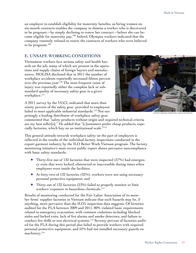an employer to establish eligibility for maternity benefits, so hiring women on six-month contracts enables the company to dismiss a worker who is discovered to be pregnant—by simply declining to renew her contract—before she can become eligible for maternity pay.108 Indeed, Olympus workers indicated that the company routinely refused to renew the contracts of workers who were believed to be pregnant.<sup>109</sup>

#### **E. Unsafe Working Conditions**

Vietnamese workers face serious safety and health hazards on the job, many of which are present in the operations and supply chains of foreign buyers and manufacturers. MOLISA disclosed that in 2011 the number of workplace accidents reportedly increased fifteen percent over the previous year.<sup>110</sup> The most frequent cause of injury was reportedly either the complete lack or substandard quality of necessary safety gear in a given workplace.<sup>111</sup>

A 2011 survey by the VGCL indicated that more than ninety percent of the safety gear provided to employees failed to meet applicable industrial standards.<sup>112</sup> Not surprisingly a leading distributor of workplace safety gear



creative commons: nternational Labour Organizaton

commented that "safety products without origin and required technical criteria are my best seller[s]." He added that "[c]ustomers prefer cheap products, especially factories, which buy on an institutional scale."113

This general attitude towards workplace safety on the part of employers is reflected in the results of the individual factory inspections conducted in the export garment industry by the ILO Better Work Vietnam program. The factory monitoring initiative's most recent public report shows pervasive noncompliance with basic safety standards:

- $\blacklozenge$  Thirty-five out of 132 factories that were inspected (27%) had emergency exits that were locked, obstructed or inaccessible during times when employees were inside the facilities;
- ← At forty-two of 132 factories  $(32%)$ , workers were not using necessary personal protective equipment; and
- $\triangle$  Thirty out of 132 factories (23%) failed to properly monitor or limit workers' exposure to hazardous chemicals.<sup>114</sup>

Results of monitoring conducted for the Fair Labor Association of its member firms' supplier factories in Vietnam indicate that such hazards may be, if anything, more pervasive than the ILO's inspection data suggests. Of factories audited for the FLA between 2009 and 2011, 80% violated basic requirements related to emergency evacuation, with common violations including blocked aisles and locked exits, lack of fire alarms and smoke detectors, and failure to conduct fire drills or test electrical systems.115 Seventy percent of factories audited for the FLA during this period also failed to provide workers with required personal protective equipment, and 52% had not installed necessary guards on machinery.<sup>116</sup>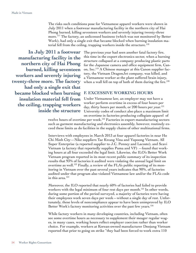The risks such conditions pose for Vietnamese apparel workers were shown in July 2011 when a footwear manufacturing facility in the northern city of Hai Phong burned, killing seventeen workers and severely injuring twenty-three more.117 The factory, an unlicensed business (which was not monitored by Better Work), had only a single exit that became blocked when burning insulation material fell from the ceiling, trapping workers inside the structure.<sup>118</sup>

**In July 2011 a footwear manufacturing facility in the northern city of Hai Phong burned, killing seventeen workers and severely injuring twenty-three more. The factory had only a single exit that became blocked when burning insulation material fell from the ceiling, trapping workers inside the structure**

The previous year had seen another fatal factory fire, this time in the export electronics sector, when a burning structure collapsed at a company producing plastic parts for the Japanese camera and office equipment firm, Canon, Inc.119 A Chinese manager at this Canon supplier factory, the Vietnam DragonJet company, was killed, and a Vietnamese worker at the plant suffered brain injury, when a wall fell on top of both of them during the fire.<sup>120</sup>

#### **F. Excessive Working Hours**

Under Vietnamese law, an employer may not have a worker perform overtime in excess of four hours per day, thirty hours per month, or 200 hours per year.<sup>121</sup> University codes of conduct also place a maximum limit on overtime in factories producing collegiate apparel of

twelve hours of overtime per week.<sup>122</sup> Factories in export manufacturing sectors such as garment manufacturing and electronics assembly, however, routinely exceed these limits as do facilities in the supply chains of other multinational firms.

Interviews with employees in March 2013 at four apparel factories in near Ho Chi Minh City—Nike suppliers Tae Kwang Vina and Yupoong Vietnam, All Super Enterprise (a reported supplier to J.C. Penney and Lacoste), and Scavi Vietnam (a factory that reportedly supplies Puma and VF) —found that working hours at all four exceeded the legal limit. Likewise, the ILO's Better Work Vietnam program reported in its most recent public summary of its inspection results that 93% of factories it audited were violating the annual legal limit on overtime as well.<sup>123</sup> Finally, a review of the FLA's public reporting of its monitoring in Vietnam over the past several years indicates that 90%, of factories audited under that program also violated Vietnamese law and/or the FLA's code in this area.<sup>124</sup>

Moreover, the ILO reported that nearly 60% of factories had failed to provide workers with the legal minimum of four rest days per month.<sup>125</sup> In other words, during some portion of the period surveyed, a majority of factories were having their employees work seven days per week—without a single day of rest. Unfortunately, these levels of noncompliance appear to have been unimproved by ILO Better Work's factory monitoring activities over the past few years.<sup>126</sup>

While factory workers in many developing countries, including Vietnam, often see some overtime hours as necessary to supplement their meager regular wages, in many cases, working hours reflect employer coercion rather than worker choice. For example, workers at Korean-owned manufacturer Doojung Vietnam reported that prior to going on strike "they had been forced to work extra 110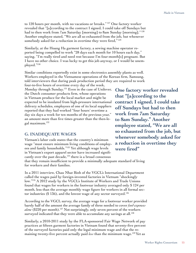to 120 hours per month, with no vacations or breaks." 127 One factory worker revealed that "[a]ccording to the contract I signed, I could take off Sundays but had to then work from 7am Saturday [morning] to 8am Sunday [morning]."<sup>128</sup> Another employee stated, "We are all so exhausted from the job, but whenever somebody asked for a reduction in overtime they were fired,"<sup>129</sup>

Similarly, at the Hoang Ha garment factory, a sewing machine operator reported being compelled to work "28 days each month for 10 hours each day," saying, "I'm really tired and need rest because I'm four-month[s] pregnant. But I have no other choice. I was lucky to get this job anyway, or I would be unemployed."130

Similar conditions reportedly exist in some electronics assembly plants as well. Workers employed in the Vietnamese operations of the Korean firm, Samsung, told interviewers that during peak production period they are required to work

four-to-five hours of overtime every day of the week, Monday through Sunday.<sup>131</sup> Even in the case of Unilever, the Dutch consumer products firm, whose operations in Vietnam produce for the local market and might be expected to be insulated from high-pressure international delivery schedules, employees of one of its local suppliers reported that they had worked "four hours' overtime a day six days a week for ten months of the previous year," an amount more than five times greater than the then-legal maximum.132

#### **G. Inadequate Wages**

Vietnam's labor code states that the country's minimum wage "must ensure minimum living conditions of employees and family households."133 Yet although wage levels in Vietnam's export apparel sector have increased significantly over the past decade,<sup>134</sup> there is a broad consensus

**One factory worker revealed that "[a]ccording to the contract I signed, I could take off Sundays but had to then work from 7am Saturday to 8am Sunday." Another employee stated, "We are all so exhausted from the job, but whenever somebody asked for a reduction in overtime they were fired"**

that they remain insufficient to provide a minimally adequate standard of living for workers and their families.

In a 2011 interview, Chau Nhat Binh of the VGCL's International Department called the wages paid by foreign-invested factories in Vietnam "shockingly low."135 A 2012 study by the VGCL's Institute of Workers and Trade Unions found that wages for workers in the footwear industry averaged only \$ 124 per month, less than the average monthly wage figure for workers in all formal sector industries (\$136), and the lowest wage of any sector surveyed.<sup>136</sup>

According to the VGCL survey, the average wage for a footwear worker provided barely half of the amount the average family of three needed to cover *food expenses alone* (\$220 per month).<sup>137</sup> Not surprisingly, only seven percent of the workers surveyed indicated that they were able to accumulate any savings at all.<sup>138</sup>

Similarly, a 2010-2011 study by the FLA-sponsored Fair Wage Network of pay practices at fifteen garment factories in Vietnam found that seventy-five percent of the surveyed factories paid only the legal minimum wage and that the remaining twenty-five percent actually paid *less* than the minimum wage.139 Yet as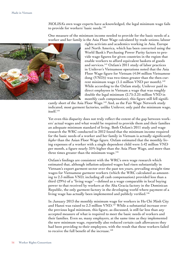MOLISA's own wage experts have acknowledged, the legal minimum wage fails to provide for workers' basic needs.<sup>140</sup>

One measure of the minimum income needed to provide for the basic needs of a worker and her family is the Asia Floor Wage calculated by trade unions, labour



rights activists and academics working in Asia, Europe and North America, which has been converted using the World Bank's Purchasing Power Parity factors to provide wage figures for given countries in the region that enable workers to afford equivalent baskets of goods and services.<sup>141</sup> Oxfam's 2011 study of labor practices in Unilever's Vietnamese operations noted that the Asia Floor Wage figure for Vietnam (4.04 million Vietnamese dong (VND)) was two times greater than the then-current minimum wage  $(1.5 \text{ million VND per month})$ .<sup>142</sup> While according to the Oxfam study, Unilever paid its direct employees in Vietnam a wage that was roughly double the legal minimum (2.75-3.25 million VND in monthly cash compensation), this figure still fell signifi-

cantly short of the Asia Floor Wage.<sup>143</sup> And, as the Fair Wage Network study indicated, most garment factories, unlike Unilever, only paid the minimum wage,  $itself<sup>144</sup>$ 

Yet even this disparity does not truly reflect the extent of the gap between workers' actual wages and what would be required to provide them and their families an adequate minimum standard of living. Both Oxfam's 2011 study and wage research the WRC conducted in 2012 found that the minimum income required for the basic needs of a worker and her family in Vietnam is actually significantly *higher* than the Asian Floor Wage figure. Oxfam estimated that the monthly living expenses of a worker with a single dependent child were 5.42 million VND per month, a figure nearly 35% higher than the Asia Floor Wage, and more than three times greater than the minimum wage. $145$ 

Oxfam's findings are consistent with the WRC's own wage research which estimated that, although inflation-adjusted wages had risen substantially in Vietnam's export garment sector over the past ten years, prevailing straight time wages for Vietnamese garment workers (which the WRC calculated as amounting to 2.3 million VND, including all cash compensation) provided less than a third (29%) of a "living wage"—defined as a wage comparable in local buying power to that received by workers at the Alta Gracia factory in the Dominican Republic, the only garment factory in the developing world where payment of a living wage has actually been implemented and publicly verified.<sup>146</sup>

In January 2013 the monthly minimum wage for workers in Ho Chi Minh City and Hanoi was raised to 2.3 million VND.<sup>147</sup> While a substantial increase over the previous legal minimum, this figure, as discussed, is still far less than any accepted measure of what is required to meet the basic needs of workers and their families. Even so, many employers, at the same time as they implemented the new minimum wage, reportedly also reduced certain cash allowances they had been providing to their employees, with the result that these workers failed to receive the full benefit of the increase.<sup>148</sup>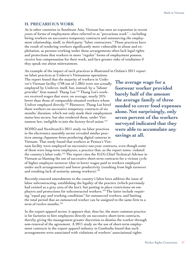#### **H. Precarious Work**

As in other countries in Southeast Asia, Vietnam has seen an expansion in recent years of forms of employment often referred to as "precarious work"—including hiring workers on successive temporary contracts and outsourcing the employment relationship, itself, to third-party "labor contractors." These practices have the result of rendering workers significantly more vulnerable to abuse and exploitation, as persons working under these arrangements often lack legal rights and protections that workers in more "regular" forms of employment possess, receive less compensation for their work, and face greater risks of retaliation if they speak out about mistreatment.

An example of the impact of such practices is illustrated in Oxfam's 2011 report

on labor practices at Unilever's Vietnamese operations. The report found that the majority of workers in Unilever's Vietnam facility (748 out of 1,385) were not actually employed by Unilever, itself, but, instead, by a "labour provider" firm named Thang Loi.<sup>149</sup> Thang Loi's workers received wages that were, on average, nearly 25% lower than those of comparably-situated workers whom Unilver employed directly.<sup>150</sup> Moreover, Thang Loi hired these workers on successive temporary contracts of six months' duration. which not only made their employment status less secure, but also rendered them, under Vietnamese law, ineligible to join the factory-level union.<sup>151</sup>

SOMO and Swedwatch's 2011 study on labor practices in the electronics assembly sector revealed similar practices among Japanese firms producing digital cameras in Vietnam. That study found that workers at Pentax's Viet-

nam facility were employed on successive one-year contracts, even though some of them were long-term employees, a practice that, as the report notes, violated the country's labor code.152 The report cites the ILO's Chief Technical Advisor in Vietnam as blaming the use of successive short-term contracts for a vicious cycle of higher employee turnover (due to lower wages paid to workers employed under such arrangements) and lower productivity (resulting from high turnover and resulting lack of seniority among workers).<sup>153</sup>

Recently-enacted amendments to the country's labor laws address the issue of labor subcontracting, establishing the legality of the practice (which previously had existed as a grey area of the law), but putting in place restrictions on employers and protections for subcontracted workers.<sup>154</sup> The latter include requiring "equal pay and working conditions" for outsourced workers, and limiting the total period that an outsourced worker can be assigned to the same firm to a term of twelve months.<sup>155</sup>

In the export apparel sector, it appears that, thus far, the more common practice is for factories to hire employees directly on successive short-term contracts, thereby giving the management greater discretion to dismiss the worker through non-renewal of the agreement. A 2011 study on the use of short-term employment contracts in the export apparel industry in Cambodia found that such arrangements were associated with violations of workers' associational rights

**The average wage for a footwear worker provided barely half of the amount the average family of three needed to cover food expenses alone.Not surprisingly, only seven percent of the workers surveyed indicated that they were able to accumulate any savings at all.**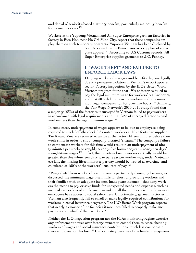and denial of seniority-based statutory benefits, particularly maternity benefits for women workers.<sup>156</sup>

Workers at the Yupoong Vietnam and All Super Enterprise garment factories in factory in Bien Hoa, near Ho Chi Minh City, report that these companies employ them on such temporary contracts. Yupoong Vietnam has been disclosed by



both Nike and Twins Enterprises as a supplier of collegiate apparel.157 According to U.S Customs records, All Super Enterprise supplies garments to J.C. Penney.

#### **I. "Wage Theft" and Failure to Enforce Labor Laws**

Denying workers the wages and benefits they are legally due is a pervasive violation in Vietnam's export apparel sector. Factory inspections by the ILO's Better Work Vietnam program found that 19% of factories failed to pay the legal minimum wage for workers' regular hours, and that 30% did not provide workers with the minimum legal compensation for overtime hours.<sup>158</sup> Similarly, the Fair Wage Network's 2010-2011 study found that

a majority (53%) of the factories it surveyed in Vietnam failed to pay workers in accordance with legal requirements and that 25% of surveyed factories paid workers less than the legal minimum wage.<sup>159</sup>

In some cases, underpayment of wages appears to be due to employees being required to work "off-the-clock." As noted, workers at Nike footwear supplier Tae Kwang Vina are required to arrive at the factory fifteen minutes before their work shifts in order to shout company-dictated "slogans." The company's failure to compensate workers for this time would result in an underpayment of ninety minutes per week, or roughly seventy-five hours per year—nearly ten days' straight-time wages.<sup>160</sup> In fact, the monetary loss to workers actually would be greater than this—fourteen days' pay per year per worker—as, under Vietnamese law, the missing fifteen minutes per day should be treated as overtime, and calculated at 150% of the workers' usual rate of pay.<sup>161</sup>

 "Wage theft" from workers by employers is particularly damaging because, as discussed, the minimum wage, itself, falls far short of providing workers and their families with an adequate income. Inadequate incomes—that deny workers the means to pay or save funds for unexpected needs and expenses, such as medical care or loss of employment—make it all the more crucial that low-wage employees have access to social safety nets. Unfortunately, garment factories in Vietnam also frequently fail to enroll or make legally-required contributions for workers in social insurance programs. The ILO Better Work program reports that nearly a quarter of the factories it monitors failed to properly make such payments on behalf of their workers.<sup>162</sup>

Neither the ILO inspection program nor the FLA's monitoring regime exercise any enforcement power over factory owners to compel them to cease cheating workers of wages and social insurance contributions, much less compensate these employee for this loss.<sup>163</sup> Unfortunately because of the limited transparen-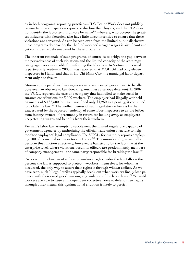cy in both programs' reporting practices—ILO Better Work does not publicly release factories' inspection reports or disclose their buyers, and the FLA does not identify the factories it monitors by name<sup>164</sup> $-$ buyers, who possess the greatest influence with factories, also have little direct incentive to ensure that these violations are corrected. As can be seen even from the limited public disclosure these programs do provide, the theft of workers' meager wages is significant and yet continues largely unabated by these programs.

The inherent rationale of such programs, of course, is to bridge the gap between the pervasiveness of such violations and the limited capacity of the state regulatory agencies responsible for enforcing the labor law. In Vietnam, this need is particularly acute—in 2008 it was reported that MOLISA had only eleven inspectors in Hanoi, and that in Ho Chi Minh City, the municipal labor department only had five.<sup>165</sup>

Moreover, the penalties these agencies impose on employers appear to hardly pose even an obstacle to law-breaking, much less a serious deterrent. In 2007, the VGCL reported the case of a company that had failed to make social insurance contributions for 3,000 workers. The employer had illegally withheld payments of \$ 187,500, but as it was fined only \$1,250 as a penalty, it continued to violate the law.166 The ineffectiveness of such regulatory efforts is further exacerbated by the reported tendency of some labor inspectors to extort bribes from factory owners,<sup>167</sup> presumably in return for looking away as employers keep stealing wages and benefits from their workers.

Vietnam's labor law attempts to supplement the limited regulatory capacity of government agencies by authorizing the official trade union structure to help monitor employers' legal compliance. The VGCL, for example, reports employing 100 of its own labor inspectors in Hanoi.168 The union's ability to actually perform this function effectively, however, is hamstrung by the fact that at the enterprise level, where violations occur, its officers are predominantly members of company management—the same party responsible for breaking the law.169

 As a result, the burden of enforcing workers' rights under the law falls on the persons the law is supposed to protect—workers, themselves, for whom, as discussed, the only way to assert their rights is through wildcat strikes. As we have seen, such "illegal" strikes typically break out when workers finally lose patience with their employers' own ongoing violation of the labor laws.170 Yet until workers are able to raise an independent collective voice to defend their rights through other means, this dysfunctional situation is likely to persist.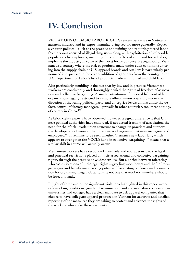# **IV. Conclusion**

VIOLATIONS OF BASIC LABOR RIGHTS remain pervasive in Vietnam's garment industry and its export manufacturing sectors more generally. Repressive state policies—such as the practice of detaining and requiring forced labor from persons accused of illegal drug use—along with exploitation of vulnerable populations by employers, including through trafficked child and forced labor, implicate the industry in some of the worst forms of abuse. Recognition of Vietnam as a country where the risk of products made under such conditions entering into the supply chain of U.S. apparel brands and retailers is particularly pronounced is expressed in the recent addition of garments from the country to the U.S Department of Labor's list of products made with forced and child labor.

Also particularly troubling is the fact that by law and in practice Vietnamese workers are consistently and thoroughly denied the rights of freedom of association and collective bargaining. A similar situation—of the establishment of labor organizations legally restricted to a single official union operating under the direction of the ruling political party, and enterprise-levels unions under the de facto control of factory managers—prevails in other countries, too, most notably, of course, in China.<sup>171</sup>

As labor rights experts have observed, however, a signal difference is that Chinese political authorities have endorsed, if not actual freedom of association, the need for the official trade union structure to change its practices and support the development of more authentic collective bargaining between managers and employees.<sup>172</sup> It remains to be seen whether Vietnam's new labor law, which appears to strengthen the VGCL's hand in collective bargaining,  $173$  means that a similar shift in course will actually occur.

Vietnamese workers have responded creatively and courageously to the legal and practical restrictions placed on their associational and collective bargaining rights, through the practice of wildcat strikes. But a choice between tolerating wholesale violations of their legal rights—grueling work hours and theft of meager wages and benefits—or risking potential blacklisting, violence and prosecution for organizing illegal job actions, is not one that workers anywhere should be forced to make.

In light of these and other significant violations highlighted in this report—unsafe working conditions, gender discrimination, and abusive labor contracting universities and colleges have a clear mandate to ask apparel companies that choose to have collegiate apparel produced in Vietnam for accurate and detailed reporting of the measures they are taking to protect and advance the rights of the workers who make these garments.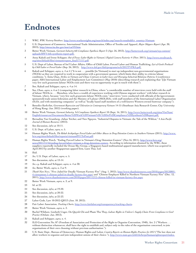# **Endnotes**

- 1 WRC, *WRC Factory Database*, http://www.workersrights.org/search/index.asp?search=results&fct\_country=Vietnam.
- 2 U.S. Department of Commerce, International Trade Administration, Office of Textiles and Apparel, *Major Shippers Report* (Apr. 30, 2013), http://otexa.ita.doc.gov/msr/catV0.htm.
- 3 Better Work Vietnam, *Garment Industry 6th Compliance Synthesis Report* 3 (Apr. 26, 2013), http://betterwork.org/vietnam/wp-content/ uploads/BWV-6th-synthesis-report.pdf.
- 4 Anna Kakuli and Irene Schipper, *Out of Focus: Labor Rights in Vietnam's Digital Camera Factories* 4 (Nov. 2011), http://www.swedwatch. org/sites/default/files/vietnamrreport\_final171111.pdf.
- 5 U.S. Dept of Labor, Bureau of Int'l Labor Affairs, Office of Child Labor, Forced Labor and Human Trafficking, *List of Goods Produced by Child Labor or Forced Labor* (Sep. 26, 2012), http://www.dol.gov/ilab/programs/ocft/2012TVPRA.pdf.
- 6 Kakuli and Schipper, *supra,* n. 4 at 4 ("It is not . . . possible [in Vietnam] to start up independent non-governmental organizations (NGOs) as they are required to work in cooperation with a government sponsor, which limits their ability to criticize labour conditions."); Anita Chan, *Strikes in Vietnam and China: Contrasts in Labor Laws and Diverging Industrial Relations Patterns* 5 (conference paper, ABA International Labor and Employment Law Committee) (May 2010) (describing research and explaining that "[i]n Vietnam very few such grassroots labour NGOs exist and there was no opportunity to get in touch with them").
- 7 See, Kakuli and Schipper, *supra,* n. 4 at 14.
- 8 See, Chan, *supra,* n. 6 at 5 (comparing labor research in China, where "a considerable number of interviews were held with the staff of labour NGOs in . . . Shenzhen, who have a wealth of experience working with Chinese migrant workers" with labor research in Vietnam, where, because "very few such grassroots labour NGOs exist," interviews "were conducted with officials of the [governmentsponsored] trade union federation and the Ministry of Labour (MOLISA), with staff members of the International Labor Organization (ILO), and with monitoring companies" as well as "locally based staff members of a well-known Western-owned footwear company").
- 9 Benedict Kerkvliet, *Government Repression and Toleration in Contemporary Vietnam* 14-15 (Southeast Asia Research Center, City University of Hong Kong: Jan. 2012) (working paper).
- 10 Better Work Vietnam, *Garment Industry, 3rd Compliance Synthesis Report* 10 (Sept. 16, 2011), http://www.betterwork.org/sites/VietNam/ English/resources/Documents/Better%20Work%20Vietnam%20-%203rd%20Compliance%20Synthesis%20Report.pdf.
- 11 Bernadine Van Gramberg, Julian Teicher, and Tien Nguyen, "Industrial Disputes in Vietnam: the Tale of the Wildcat," 4 *Asia Pacific Journal of Human Resources* (2013).
- 12 See discussion, *infra* at 10-11.
- 13 U.S. Dept. of Labor, *supra,* n. 5.
- 14 Human Rights Watch, *The Rehab Archipelago: Forced Labor and Other Abuses in Drug Detention Centers in Southern Vietnam* (2011), http://www. hrw.org/sites/default/files/reports/vietnam0911ToPost.pdf.
- 15 Human Rights Watch, "Ending Forced Labor in Vietnam's Drug Detention Centers" (Nov.16, 2011), http://www.hrw.org/ news/2011/11/16/ending-forced-labor-vietnam-s-drug-detention-centers. According to information obtained by the WRC, these suppliers reportedly included the Ocean Sky Group, a Singapore-based multinational apparel manufacturer, which was acquired in April 2013 by another Singaporean apparel firm, Luen Thai, Ltd.
- 16 Ibid.
- 17 *See,* U.S. Dept. of Labor, *supra,* n. 5.
- 18 See discussion, *infra,* at 13-14.
- 19 *See, e.g.* Kakuli and Schipper, *supra,* n. 4 at 30.
- 20 *See,* Better Work, *supra,* n. 3 at 9.
- 21 *Thanh Nien News*, "Five Jailed for Deadly Vietnam Factory Fire" (Aug. 1, 2012), http://www.thanhniennews.com/2010/pages/20120801- 4-vietnamese-1-chinese-jailed-in-deadly-factory-fire.aspx; and "Chinese Employee Killed in Northern Vietnam Factory Fire" (Dec. 12, 2011), http://www.thanhniennews.com/2010/pages/20111212-chinese-killed-in-vietnam-factory-fire.aspx.
- 22 Better Work Vietnam, *supra,* n. 3, at 9.
- 23 Id. at 22.
- 24 See discussion, *infra,* at 19-20.
- 25 See discussion, *infra,* at 20-22.
- 26 See discussion, *infra,* at 22-23.
- 27 Labor Code, Law 10-2012-QH13 (Jun. 18. 2012).
- 28 Fair Labor Association, *Tracking Charts,* http://www.fairlabor.org/transparency/tracking-charts.
- 29 Better Work Vietnam, *supra,* n. 3.
- 30 Rachel Wilshaw, Liesbeth Unger, Do Quynh Chi and Pham Thu Thuy, *Labour Rights in Unilever's Supply Chain: From Compliance to Good Practice* (Oxfam: Jan. 2013).
- 31 Kakuli and Schipper, *supra,* n. 4.
- 32 ILO Convention No. 87 (Freedom of Association and Protection of the Right to Organise Convention, 1948), Art. 2 ("Workers . . . without distinction whatsoever, shall have the right to establish and, subject only to the rules of the organisation concerned, to join organisations of their own choosing without previous authorisation.").
- 33 U.S. State Dept., Bureau of Democracy, Human Rights and Labor, *Country Reports on Human Rights Practices for 2012* ("The law does not allow workers to organize and join independent unions of their choice."), http://www.state.gov/j/drl/rls/hrrpt/humanrightsreport/index.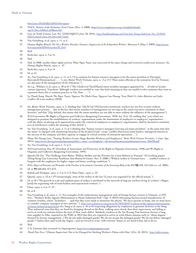htm?year=2012&dlid=204251#wrapper.

- 34 VGCL, *Statutes of the Vietnamese Trade Unions* (Nov. 5, 2008), http://www.congdoanvn.org.vn/english/details. asp?l=1&c=240&c2=240&m=557.
- 35 Law on Trade Unions, Law No. 12/2012/QH13 (Jun. 20, 2012), http://luatkhaiphong.com/Van-ban-Tieng-Anh/Law-No.-12/2012/ QH13-dated-June-20-2012-6627.html.
- 36 Van Gramberg, et al, *supra,* n. 11, at 5.
- 37 Human Rights Watch, *Not Yet a Workers Paradise: Vietnam's Suppression of the Independent Workers' Movement* 2 (May 4, 2009), http://www. hrw.org/node/82844/section/3#\_ftn5.
- 38 Ibid.
- 39 Kerkvliet, *supra,* n. 9 at 14.
- 40 Ibid.
- 41 Ibid. In 2008, another labor rights activist, Phan Ngoc Tuan, was convicted of the same charge and received a multi-year sentence. *See,*  Human Rights Watch, *supra,* n. 37.
- 42 Kerkvliet, *supra,* n. 9 at 14.
- 43 Id. at 15.

.

- 44 *See*, Van Gramberg et al, *supra*, n. 11, at 5 ("It is common for human resource managers to be the union president in F[oreign] I[invested] E[enterprises] . . . ."); *also,* Better Work Vietnam, *supra,* n. 3 at 13 ("Most union officials at the enterprise level in Vietnam are also part of the management of the enterprise.").
- 45 *See* e.g., Wilshaw et al, *supra*, n. 30 at 61 ("The U[nilever] V[iet]N[am] union includes managers appointed by . . .[Unilever's] joint venture [partner], Vinachem. Although workers are entitled to vote, this lacks meaning as they are unable to elect someone they trust to represent them; this is common practice in Viet Nam . . . .").
- 46 Le Thanh Sang, Huynh Thi Ngoc Tuyet, Nguyen Thi Minh Chau, Nguyen Lan Huong, Tran Minh Ut, *Labor Relations and Labor Conflicts* 50 (case studies) (2010).
- 47 *See,* Better Work Vietnam, *supra,* n. 3, (finding that "[i]n 81 [of 132] factories monitored, workers are not free to meet without management present . . .due to the fact that senior members of management are serving on the union executive committee in these factories" and that "[b]y default, this means that the union members are not able to meet without the influence of the management").
- 48 ILO Convention 98 (Right to Organise and Collective Bargaining Convention, 1949) Art. 2(1), (2) (adding that "acts which are designed to promote the establishment of workers' organisations under the domination of employers or employers' organisations . . . with the object of placing such organisations under the control of employers or employers' organisations, shall be deemed to constitute acts of interference within the meaning of this Article").
- 49 *See,* Van Gramberg, et al, *supra,* n. 11 at 5 (finding that "human resource managers [serving as] union president" at the same time that the union "is charged with monitoring breaches of the [Labor] Code" create "conflict [between] union leaders' managerial interest in the success of the company and their capacity to engage in critical scrutiny of enterprise operations….").
- 50 Pham Thi Hoang Lien, "Putting Workers Centre Stage Benefits Workers and Employers," *Better Work Vietnam Newsletter*, 1 (Jan.-Apr. 2013), http://www.ilo.org/wcmsp5/groups/public/---asia/---ro-bangkok/---ilo-hanoi/documents/publication/wcms\_206398.pdf.
- 51 *See,* Van Gramberg, et al, *supra,* n. 11 at 5.
- 52 ILO Conventions Nos. 87 (Freedom of Association and Protection of the Right to Organise Convention, 1948) and 98 (Right to Organise and Collective Bargaining Convention, 1949).
- 53 Quynh Chi Do, "The Challenge from Below: Wildcat Strikes and the Pressure for Union Reform in Vietnam" 18 (working paper) (Hong Kong City University Southeast Asia Research Center: Nov. 3, 2008) ("Wildcat strikes in Vietnam have . . . enabled workers to bargain with the employers for higher wages and better working conditions.").
- 54 ILO, *Digest of Decisions and Principles of the Freedom of Association Committee of the Governing Body of the ILO* **¶¶** 520, 523 (5th rev. ed. 2006).
- 55 Id. at ¶¶ 660-664, 671-673.
- 56 Kakuli and Schipper, *supra,* n. 4 at 4; U.S. State Dept., *supra,* n. 33.
- 57 Quynh, *supra,* n. 53 at 1 **("**Unsurprisingly, none of the strikes in the last 13 years was organised by the official unions.").
- 58 Id. at 18 ("The growth in scale and sophistication of strikes is attributed to the network of migrant workers living in workers' villages, [and] the organising role of team leaders and experienced workers.").
- 59 Chan, *supra,* n. 6 at 17, 37.
- 60 Id. at 8.
- 61 Van Gramberg et al, *supra,* n. 11. For examples of the authoritarian management style of foreign factory owners in Vietnam, *see DTI News*, "Workers Strike Against Mistreatment in Hanoi Industrial Park" (Apr. 9, 2013) (discussing Korean-owned manufacturer of cosmetic brushes, where "[w]orkers . . . said that they were made to memorise the phrase, 'We have parents at home, but we must learn to consider company managers as new parents.'"), http://www.dtinews.vn/en/news/017004/28597/workers-strike-against-mistreatmentin-hanoi-industrial-park.html; *also,* Sang et al, *supra,* n. 46 at 43 (reporting allegations by employees in garment factories in the Song Than industrial zone that they are fined for dropping thread on the floor, walking more slowly than their supervisors, and failing to arrive at work ten minutes before the start of their work shifts). Similarly, workers at the Tae Kwang Vina footwear factory, a longtime supplier to Nike, reported to the WRC in 2013 that they are required to arrive at work fifteen minutes early to "shout slogans" dictated by factory management ("We do not make damaged goods! We do not accept the damaged goods! We do not deliver damaged goods!") before their paid work-day begins—and are forced to write "self-criticism" letters or are fined if they fail to do so.
- 62 Ibid.
- 63 U.S. Customs data accessed via Importgenius, http://www.importgenius.com/.
- 64 *Thanh Nien News,* "Chinese Supervisor Not to be Charged for Sticking Worker's Palms with Glue" (Oct. 25, 2012), http://talkvietnam.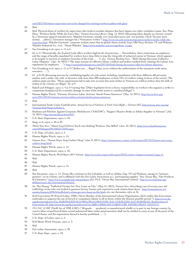com/2012/10/chinese-supervisor-not-to-be-charged-for-sticking-workers-palms-with-glue/.

65 Ibid.

- 66 Ibid. Physical abuse of workers by supervisors also tends to escalate disputes that have begun over other workplace issues. See, Phan Hien, "Workers Strike While the Iron's Hot," *Vietnam Investment Review* (Aug. 12, 2012) (discussing labor dispute at a factory owned by a Taiwanese apparel manufacturer, Makalot Garments, initially over meal allowances and rest periods, which "became more serious . . .a[fter] a Taiwanese manager hit a Vietnamese worker") http://www.vir.com.vn/news/top-news/workers-strike-while-theirons-hot.html. Makalot Garments' corporate website states that its global clients include Gap's Old Navy division, VF and Walmart. Makalot Industrial Co., Ltd., "About Makalot," http://www.makalot.com.tw/eng/about\_4.aspx.
- 67 Van Gramberg et al, *supra,* n. 11 at 6.
- 68 Id. at 4 ("Theoretically, the [Labor] Code offers workers high levels of protection. ... Nevertheless, these restrictions on employers and the range of benefits mandated for workers have done little to stop the rising tide of industrial unrest in Vietnam, which appears to be largely in reaction to employer breaches of the Code . . . ."); *also, Vietnam Breaking News,* "Binh Duong Decreases Collective Labor Disputes," (Apr. 16, 2013) ("The main reasons of collective labour conflicts and strikes resulted from violating the Labour Law regulations by employers . . ."), http://vietnambreakingnews.com/2013/04/binh-duong-decreases-collective-labour-disputes/.
- 69 Van Gramberg et al, *supra,* n. 11 at 9 ("Strikes are … illegal if they occur without the authorisation of the enterprise trade union executive. . . .").
- 70 Id. at 8-10 (discussing process for establishing legality of a job action, including consultation with three different official union entities, and a strike vote with, at factories with more than 300 employees, at least 75% of workers voting in favor of the action). The authors point out that, "These requirements fail to take into account that most strikes in Vietnam are wildcat strikes; thus the bulk of strikes in the country are illegal." Id. at 9.
- 71 Kakuli and Schipper, *supra,* n. 4 at 14 (noting that "[N]ew legislation levies a heavy responsibility on workers who organize a strike to compensate [employers] for economic damage in cases when strike action is considered illegal.").
- 72 Human Rights Watch, "Vietnam: Overturn Labor Activists' Harsh Prison Sentences" (Mar. 16, 2011), http://www.hrw.org/ news/2011/03/16/vietnam-overturn-labor-activists-harsh-prison-sentences.
- 73 Ibid.
- 74 International Trade Union Confederation, *Annual Survey of Violations of Trade Union Rights Vietnam 2012*, http://survey.ituc-csi.org/ Vietnam.html?lang=en#tabs-5.
- 75 Students and Scholars Against Corporate Misbehavior ("SACOM"), "Support Massive Strike at Adidas Supplier in Vietnam" (Jul. 12, 2011), http://sacom.hk/archives/876.
- 76 U.S. State Department, *supra,* n. 33.
- 77 Sang, et al, *supra,* n. 46 at 39.
- 78 *Thanh Nien News*, "Hanoi Guard Drives Truck into Striking Workers, One Killed" (Jun. 23. 2011), http://www.thanhniennews. com/2010/pages/20110623173639.aspx.
- 79 U.S. Dept. of Labor, *supra,* n. 5.
- 80 Human Rights Watch, *supra,* n. 14.
- 81 *Vietnam News*, "Nation Stays Atop Cashew Heap" (Jan. 8, 2011), http://vietnamnews.vnanet.vn/Economy/207434/Nation-stays-atopcashew-heap.html.
- 82 Human Rights Watch, *supra,* n. 14.
- 83 U.S. State Department, *supra,* n. 33.
- 84 Human Rights Watch, *World Report 2013: Vietnam*, http://www.hrw.org/world-report/2013/country-chapters/vietnam?page=3.
- 85 Ibid.
- 86 Ibid.
- 87 Human Rights Watch, *supra,* n. 15.
- 88 Ibid.
- 89 See discussion, *supra*, n. 15. Ocean Sky continues to list Columbia, as well as Adidas, Gap, VF and Walmart, among its "business partners" on its website, and is affiliated with the Fair Labor Association as a "participating supplier." See, Ocean Sky, "Our Products & Customers," http://www.oceanskyintl.com/product; also, FLA, "Ocean Sky International Limited," http://www.fairlabor.org/ affiliate/ocean-sky-international-limited.
- 90 *See,* Thu Huong "Trafficked Victims Get New Lease on Life," (May 21, 2013), *Vietnam News* (describing case of twenty-year old trafficking victim who was locked in garment factory, beaten and required to work sixteen-hour days), http://vietnamnews.vn/ sunday/features/239616/trafficked-victims-get-new-lease-on-life.html; *also,* see discussion, *infra,* at 16.
- 91 ILO Convention 29 (Forced Labor, 1930) ("Each Member of the International Labour Organisation which ratifies this Convention undertakes to suppress the use of forced or compulsory labour in all its forms within the shortest possible period."), http://www.ilo. org/dyn/normlex/en/f?p=NORMLEXPUB:12100:0::NO:12100:P12100\_ILO\_CODE:C029; ILO NORMLEX, Ratifications of Convention 29, http://www.ilo.org/dyn/normlex/en/f?p=1000:11300:0::NO:11300:P11300\_INSTRUMENT\_ID:312174.
- 92 19 U.S.C. § 1307 (Tariff Act of 1930, § 307) ("All goods . . . produced, or manufactured wholly or in part in any foreign country by convict labor or/and forced labor or/and indentured labor under penal sanctions shall not be entitled to entry at any of the ports of the United States, and the importation thereof is hereby prohibited. . . . ").

- 95 Ibid.
- 96 Fair Labor Association. s*upra,* n. 28.
- 97 U.S. State Dept., *supra,* n. 33.

<sup>93</sup> U.S. Dept. of Labor, *supra,* n. 5.

<sup>94</sup> ILO Better Work Vietnam, *supra,* n. 3.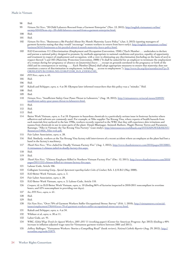#### Ibid.

- *Vietnam Net News*, "20 Child Laborers Rescued from a Garment Enterprise" (Nov. 13, 2012), http://english.vietnamnet.vn/fms/ society/52442/hcm-city--20-child-laborers-rescued-from-a-garment-enterprise.html.
- Ibid.
- Ibid.
- *Vietnam Net News*, "Businesses a Bit Puzzled About Six Month Maternity Leave Policy" (Jan. 5, 2013) (quoting managers of garment factories stating that they would "encourage" women workers to return from leave early), http://english.vietnamnet.vn/fms/ business/56161/businesses-a-bit-puzzled-about-6-month-maternity-leave-policy.html.
- ILO Conventions 111 (Discrimination (Employment and Occupation Convention, 1958) ("Each Member . . . undertakes to declare and pursue a national policy designed to promote, by methods appropriate to national conditions and practice, equality of opportunity and treatment in respect of employment and occupation, with a view to eliminating any discrimination [including on the basis of sex] in respect thereof.") and 183 (Maternity Protection Convention, 2000) ("It shall be unlawful for an employer to terminate the employment of a woman during her pregnancy or absence on [maternity] leave . . . except on grounds unrelated to the pregnancy or birth of the child and its consequences or nursing . . . . Each Member [State] shall adopt appropriate measures to ensure that maternity does not constitute a source of discrimination in employment, including . . . access to employment."), http://www.ilo.org/dyn/normlex/en/f?p=N ORMLEXPUB:12100:0::NO:12100:P12100\_ILO\_CODE:C183.
- *DTI News*, *supra,* n. 61.
- Ibid.
- Ibid.
- Kakuli and Schipper, *supra,* n. 4 at 30. Olympus later informed researchers that this policy was a "mistake." Ibid.
- Ibid.
- Ibid.
- *Vietnam News*, "Insufficient Safety Gear Poses Threat to Labourers," (Aug. 18, 2012), http://vietnamnews.vn/social-issues/228939/ insufficient-safety-gear-poses-threat-to-labourers.html.
- Ibid.
- Ibid.
- Ibid.
- Better Work Vietnam, *supra,* n. 3 at 10. Exposure to hazardous chemicals is a particularly serious issue in footwear factories where adhesives and solvents are commonly used. For example, at Nike supplier Tae Kwang Vina, where reports of health hazards from such materials first surfaced in the late 1990s, workers recently reported to the WRC that they still experience skin irritations and nausea from chemicals in use in some parts of the plant. Deepti Bhatnagar, Animesh Rathore, Magüi Moreno Torres and Parameeta Kanungo, "Nike in Vietnam: the Tae Kwang Vina Factory" (case study), http://siteresources.worldbank.org/INTEMPOWERMENT/ Resources/14826\_Nike-web.pdf.
- Fair Labor Association, *supra,* n. 28.
- Ibid. Similarly, workers at the Tae Kwang Vina factory told interviewers of a recent accident where an employee at the plant had lost a hand in the factory's machinery.
- *Thanh Nien News*, "Five Jailed for Deadly Vietnam Factory Fire" (Aug. 1, 2012), http://www.thanhniennews.com/2010/pages/20120801- 4-vietnamese-1-chinese-jailed-in-deadly-factory-fire.aspx.
- Ibid.
- Ibid.
- *Thanh Nien News*, "Chinese Employee Killed in Northern Vietnam Factory Fire" (Dec. 12, 2011), http://www.thanhniennews.com/2010/ pages/20111212-chinese-killed-in-vietnam-factory-fire.aspx.
- Labour Code, Article 106.
- Collegiate Licensing Corp., *Special Agreement regarding Labor Codes of Conduct,* Sch. I, § II.B.2 (May 2008).
- ILO Better Work Vietnam, *supra,* n. 3.
- Fair Labor Association, *supra,* n. 28.
- ILO Better Work Vietnam, *supra,* n. 3; Labour Code, Article 110.
- *Compare,* id. to ILO Better Work Vietnam, *supra,* n. 10 (finding 86% of factories inspected in 2010-2011 noncompliant in overtime hours, and 52% noncompliant in providing rest days).
- *See, DTI News*, *supra,* n. 61.
- Ibid.
- Ibid.
- *Viet Nam News*, "Over 70% of Garment Workers Suffer Occupational Stress: Survey" (Feb. 1, 2010), http://vietnamnews.vn/socialissues/employment/196444/over-70-of-garment-workers-suffer-occupational-stress-survey.html.
- Kakuli and Schipper, *supra,* n. 4 at 34.
- Wilshaw et al, *supra,* n. 30 at 11.
- Labor Code, art. 91.
- WRC, *Global Wage Trends for Apparel Workers, 2001–2011* 11 (working paper) (Center for American Progress: Apr. 2013) (finding a 40% increase in inflation-adjusted wage rates for Vietnamese garment workers between 2001 and 2011).
- Jeffery Ballinger, "Vietnamese Workers› Stories a Compelling Read" (book review), *National Catholic Reporter* (Aug. 29, 2012), http:// ncronline.org/node/31879.